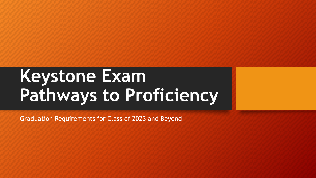# **Keystone Exam Pathways to Proficiency**

Graduation Requirements for Class of 2023 and Beyond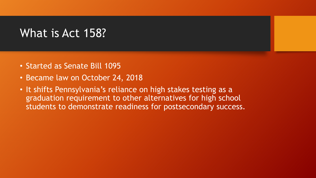# What is Act 158?

- Started as Senate Bill 1095
- Became law on October 24, 2018
- It shifts Pennsylvania's reliance on high stakes testing as a graduation requirement to other alternatives for high school students to demonstrate readiness for postsecondary success.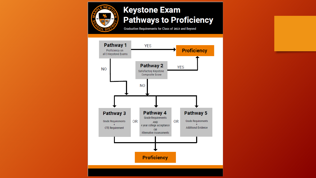

#### **Keystone Exam Pathways to Proficiency**

Graduation Requirements for Class of 2023 and Beyond

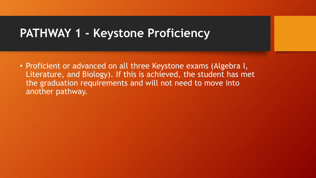### **PATHWAY 1 - Keystone Proficiency**

• Proficient or advanced on all three Keystone exams (Algebra I, Literature, and Biology). If this is achieved, the student has met the graduation requirements and will not need to move into another pathway.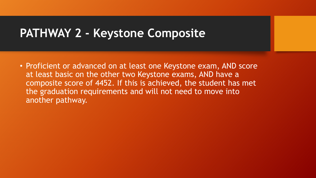#### **PATHWAY 2 - Keystone Composite**

• Proficient or advanced on at least one Keystone exam, AND score at least basic on the other two Keystone exams, AND have a composite score of 4452. If this is achieved, the student has met the graduation requirements and will not need to move into another pathway.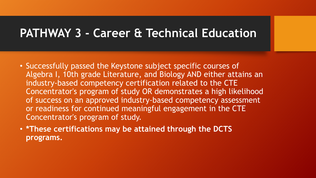#### **PATHWAY 3 - Career & Technical Education**

- Successfully passed the Keystone subject specific courses of Algebra I, 10th grade Literature, and Biology AND either attains an industry-based competency certification related to the CTE Concentrator's program of study OR demonstrates a high likelihood of success on an approved industry-based competency assessment or readiness for continued meaningful engagement in the CTE Concentrator's program of study.
- **\*These certifications may be attained through the DCTS programs.**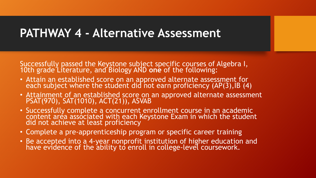#### **PATHWAY 4 - Alternative Assessment**

Successfully passed the Keystone subject specific courses of Algebra I, 10th grade Literature, and Biology AND **one** of the following:

- Attain an established score on an approved alternate assessment for each subject where the student did not earn proficiency (AP(3), IB (4)
- Attainment of an established score on an approved alternate assessment PSAT(970), SAT(1010), ACT(21)), ASVAB
- Successfully complete a concurrent enrollment course in an academic content area associated with each Keystone Exam in which the student did not achieve at least proficiency
- Complete a pre-apprenticeship program or specific career training
- Be accepted into a 4-year nonprofit institution of higher education and have evidence of the ability to enroll in college-level coursework.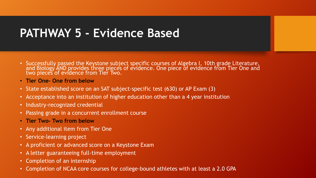# **PATHWAY 5 - Evidence Based**

- Successfully passed the Keystone subject specific courses of Algebra I, 10th grade Literature, and Biology AND provides three pieces of evidence. One piece of evidence from Tier One and two pieces of evidence from Tier Two.
- **Tier One- One from below**
- State established score on an SAT subject-specific test (630) or AP Exam (3)
- Acceptance into an institution of higher education other than a 4 year institution
- Industry-recognized credential
- Passing grade in a concurrent enrollment course
- **Tier Two- Two from below**
- Any additional item from Tier One
- Service-learning project
- A proficient or advanced score on a Keystone Exam
- A letter guaranteeing full-time employment
- Completion of an internship
- Completion of NCAA core courses for college-bound athletes with at least a 2.0 GPA